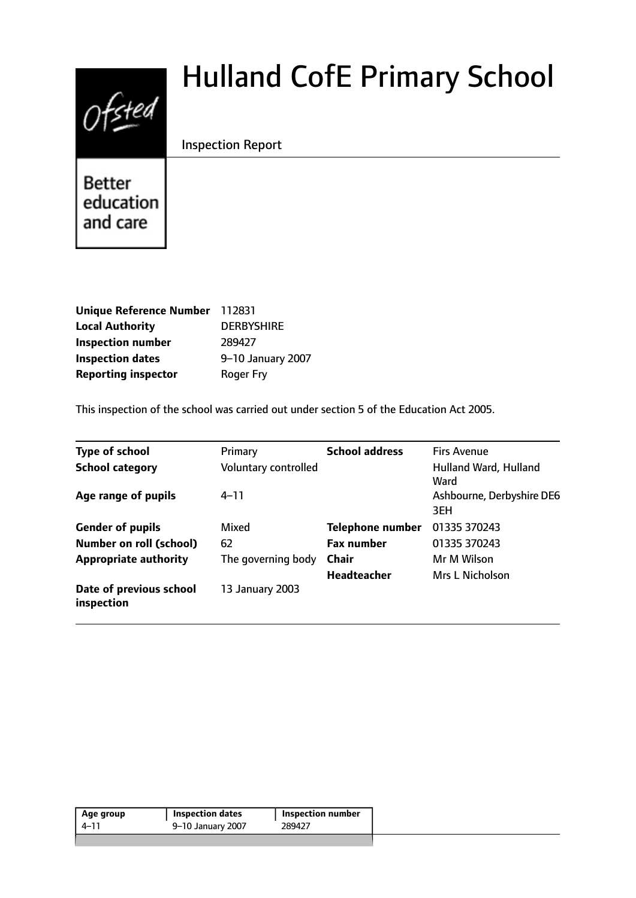# $0$ fsted

# Hulland CofE Primary School

# Inspection Report

**Better** education and care

| Unique Reference Number 112831 |                   |
|--------------------------------|-------------------|
| <b>Local Authority</b>         | <b>DERBYSHIRE</b> |
| <b>Inspection number</b>       | 289427            |
| <b>Inspection dates</b>        | 9-10 January 2007 |
| <b>Reporting inspector</b>     | <b>Roger Fry</b>  |

This inspection of the school was carried out under section 5 of the Education Act 2005.

| <b>Type of school</b>                 | Primary              | <b>School address</b>   | <b>Firs Avenue</b>               |
|---------------------------------------|----------------------|-------------------------|----------------------------------|
| <b>School category</b>                | Voluntary controlled |                         | Hulland Ward, Hulland<br>Ward    |
| Age range of pupils                   | $4 - 11$             |                         | Ashbourne, Derbyshire DE6<br>3EH |
| <b>Gender of pupils</b>               | Mixed                | <b>Telephone number</b> | 01335 370243                     |
| <b>Number on roll (school)</b>        | 62                   | <b>Fax number</b>       | 01335 370243                     |
| <b>Appropriate authority</b>          | The governing body   | <b>Chair</b>            | Mr M Wilson                      |
|                                       |                      | <b>Headteacher</b>      | <b>Mrs L Nicholson</b>           |
| Date of previous school<br>inspection | 13 January 2003      |                         |                                  |

| Age group | <b>Inspection dates</b> | Inspection number |
|-----------|-------------------------|-------------------|
| 4–11      | 9-10 January 2007       | 289427            |
|           |                         |                   |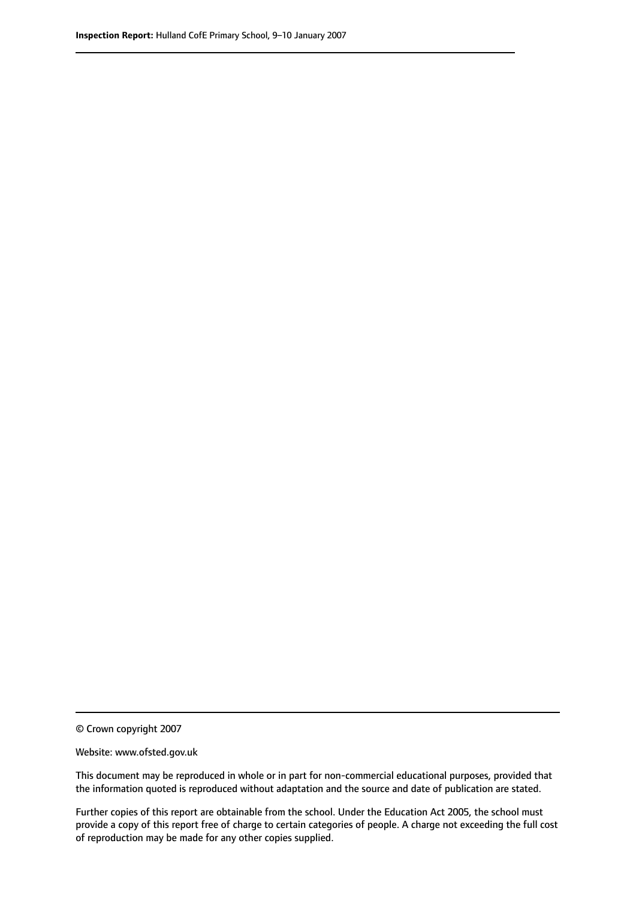© Crown copyright 2007

Website: www.ofsted.gov.uk

This document may be reproduced in whole or in part for non-commercial educational purposes, provided that the information quoted is reproduced without adaptation and the source and date of publication are stated.

Further copies of this report are obtainable from the school. Under the Education Act 2005, the school must provide a copy of this report free of charge to certain categories of people. A charge not exceeding the full cost of reproduction may be made for any other copies supplied.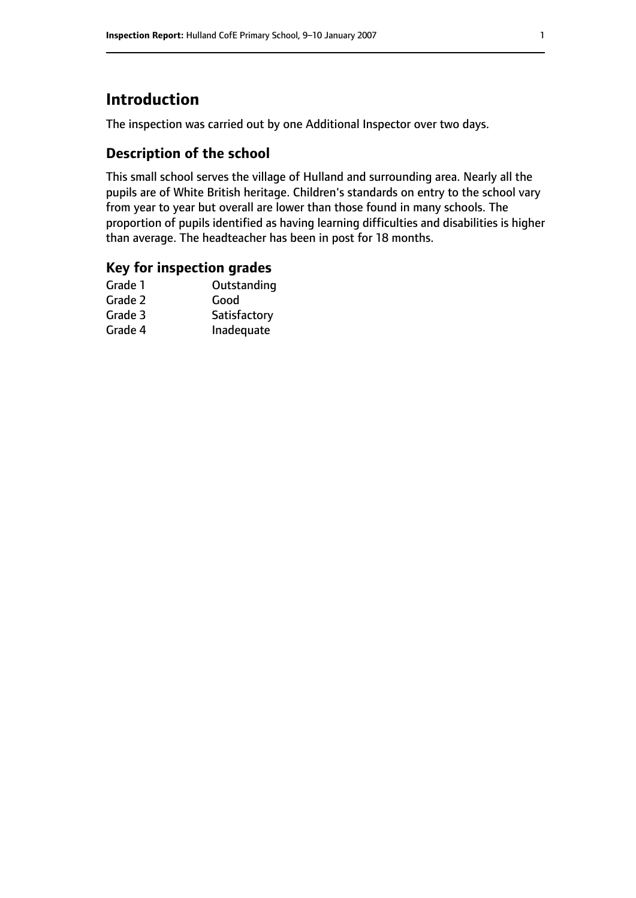# **Introduction**

The inspection was carried out by one Additional Inspector over two days.

# **Description of the school**

This small school serves the village of Hulland and surrounding area. Nearly all the pupils are of White British heritage. Children's standards on entry to the school vary from year to year but overall are lower than those found in many schools. The proportion of pupils identified as having learning difficulties and disabilities is higher than average. The headteacher has been in post for 18 months.

### **Key for inspection grades**

| Good         |
|--------------|
|              |
| Satisfactory |
| Inadequate   |
|              |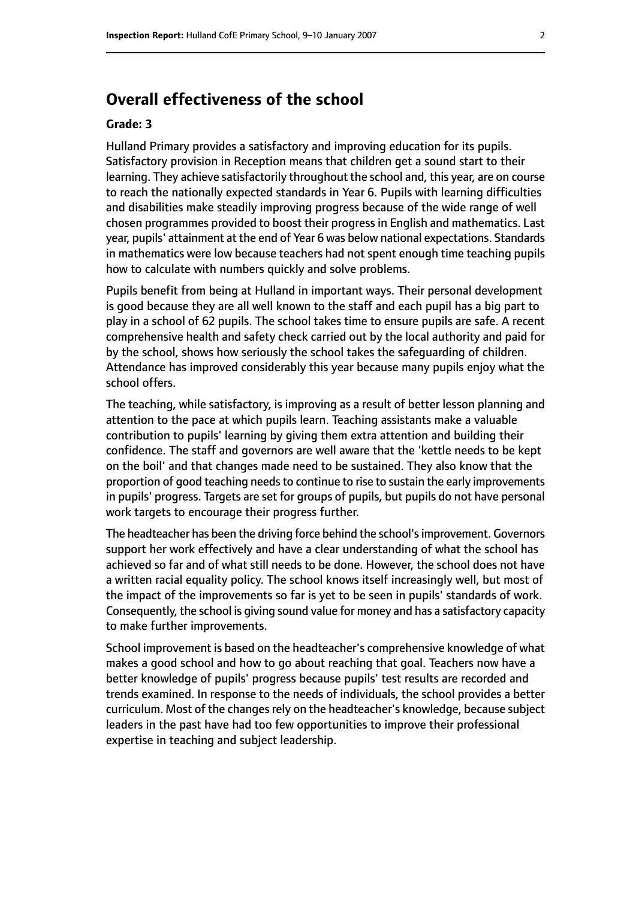# **Overall effectiveness of the school**

#### **Grade: 3**

Hulland Primary provides a satisfactory and improving education for its pupils. Satisfactory provision in Reception means that children get a sound start to their learning. They achieve satisfactorily throughout the school and, this year, are on course to reach the nationally expected standards in Year 6. Pupils with learning difficulties and disabilities make steadily improving progress because of the wide range of well chosen programmes provided to boost their progress in English and mathematics. Last year, pupils' attainment at the end of Year 6 was below national expectations. Standards in mathematics were low because teachers had not spent enough time teaching pupils how to calculate with numbers quickly and solve problems.

Pupils benefit from being at Hulland in important ways. Their personal development is good because they are all well known to the staff and each pupil has a big part to play in a school of 62 pupils. The school takes time to ensure pupils are safe. A recent comprehensive health and safety check carried out by the local authority and paid for by the school, shows how seriously the school takes the safeguarding of children. Attendance has improved considerably this year because many pupils enjoy what the school offers.

The teaching, while satisfactory, is improving as a result of better lesson planning and attention to the pace at which pupils learn. Teaching assistants make a valuable contribution to pupils' learning by giving them extra attention and building their confidence. The staff and governors are well aware that the 'kettle needs to be kept on the boil' and that changes made need to be sustained. They also know that the proportion of good teaching needs to continue to rise to sustain the early improvements in pupils' progress. Targets are set for groups of pupils, but pupils do not have personal work targets to encourage their progress further.

The headteacher has been the driving force behind the school'simprovement. Governors support her work effectively and have a clear understanding of what the school has achieved so far and of what still needs to be done. However, the school does not have a written racial equality policy. The school knows itself increasingly well, but most of the impact of the improvements so far is yet to be seen in pupils' standards of work. Consequently, the school is giving sound value for money and has a satisfactory capacity to make further improvements.

School improvement is based on the headteacher's comprehensive knowledge of what makes a good school and how to go about reaching that goal. Teachers now have a better knowledge of pupils' progress because pupils' test results are recorded and trends examined. In response to the needs of individuals, the school provides a better curriculum. Most of the changes rely on the headteacher's knowledge, because subject leaders in the past have had too few opportunities to improve their professional expertise in teaching and subject leadership.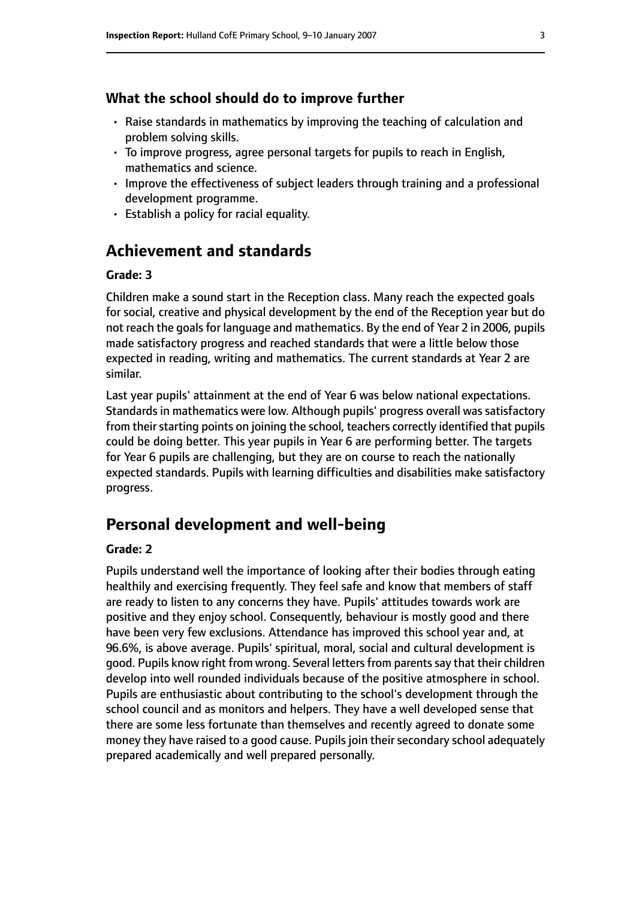#### **What the school should do to improve further**

- Raise standards in mathematics by improving the teaching of calculation and problem solving skills.
- To improve progress, agree personal targets for pupils to reach in English, mathematics and science.
- Improve the effectiveness of subject leaders through training and a professional development programme.
- Establish a policy for racial equality.

# **Achievement and standards**

#### **Grade: 3**

Children make a sound start in the Reception class. Many reach the expected goals for social, creative and physical development by the end of the Reception year but do not reach the goals for language and mathematics. By the end of Year 2 in 2006, pupils made satisfactory progress and reached standards that were a little below those expected in reading, writing and mathematics. The current standards at Year 2 are similar.

Last year pupils' attainment at the end of Year 6 was below national expectations. Standards in mathematics were low. Although pupils' progress overall was satisfactory from their starting points on joining the school, teachers correctly identified that pupils could be doing better. This year pupils in Year 6 are performing better. The targets for Year 6 pupils are challenging, but they are on course to reach the nationally expected standards. Pupils with learning difficulties and disabilities make satisfactory progress.

#### **Personal development and well-being**

#### **Grade: 2**

Pupils understand well the importance of looking after their bodies through eating healthily and exercising frequently. They feel safe and know that members of staff are ready to listen to any concerns they have. Pupils' attitudes towards work are positive and they enjoy school. Consequently, behaviour is mostly good and there have been very few exclusions. Attendance has improved this school year and, at 96.6%, is above average. Pupils' spiritual, moral, social and cultural development is good. Pupils know right from wrong. Several letters from parents say that their children develop into well rounded individuals because of the positive atmosphere in school. Pupils are enthusiastic about contributing to the school's development through the school council and as monitors and helpers. They have a well developed sense that there are some less fortunate than themselves and recently agreed to donate some money they have raised to a good cause. Pupils join their secondary school adequately prepared academically and well prepared personally.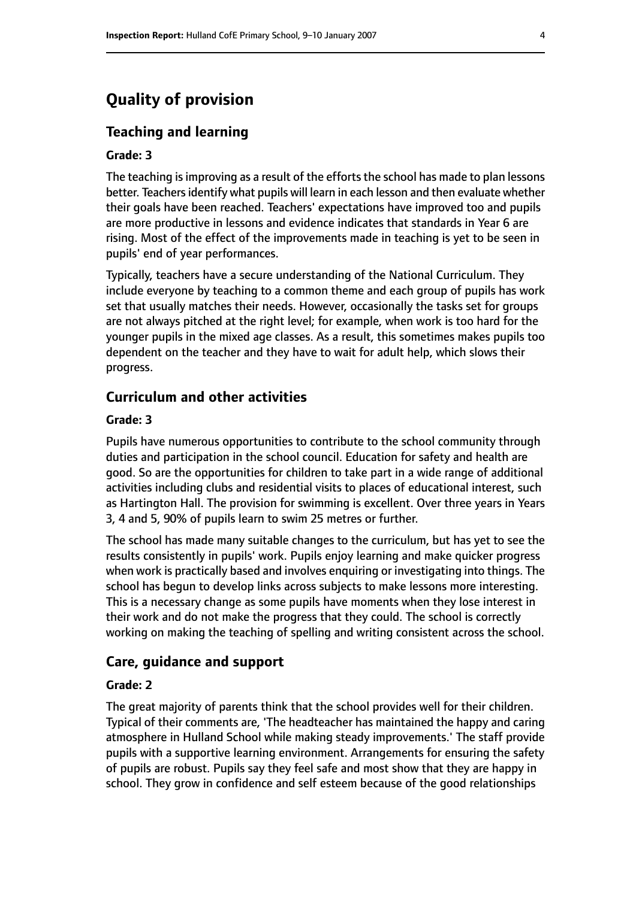# **Quality of provision**

#### **Teaching and learning**

#### **Grade: 3**

The teaching is improving as a result of the efforts the school has made to plan lessons better. Teachers identify what pupils will learn in each lesson and then evaluate whether their goals have been reached. Teachers' expectations have improved too and pupils are more productive in lessons and evidence indicates that standards in Year 6 are rising. Most of the effect of the improvements made in teaching is yet to be seen in pupils' end of year performances.

Typically, teachers have a secure understanding of the National Curriculum. They include everyone by teaching to a common theme and each group of pupils has work set that usually matches their needs. However, occasionally the tasks set for groups are not always pitched at the right level; for example, when work is too hard for the younger pupils in the mixed age classes. As a result, this sometimes makes pupils too dependent on the teacher and they have to wait for adult help, which slows their progress.

#### **Curriculum and other activities**

#### **Grade: 3**

Pupils have numerous opportunities to contribute to the school community through duties and participation in the school council. Education for safety and health are good. So are the opportunities for children to take part in a wide range of additional activities including clubs and residential visits to places of educational interest, such as Hartington Hall. The provision for swimming is excellent. Over three years in Years 3, 4 and 5, 90% of pupils learn to swim 25 metres or further.

The school has made many suitable changes to the curriculum, but has yet to see the results consistently in pupils' work. Pupils enjoy learning and make quicker progress when work is practically based and involves enquiring or investigating into things. The school has begun to develop links across subjects to make lessons more interesting. This is a necessary change as some pupils have moments when they lose interest in their work and do not make the progress that they could. The school is correctly working on making the teaching of spelling and writing consistent across the school.

#### **Care, guidance and support**

#### **Grade: 2**

The great majority of parents think that the school provides well for their children. Typical of their comments are, 'The headteacher has maintained the happy and caring atmosphere in Hulland School while making steady improvements.' The staff provide pupils with a supportive learning environment. Arrangements for ensuring the safety of pupils are robust. Pupils say they feel safe and most show that they are happy in school. They grow in confidence and self esteem because of the good relationships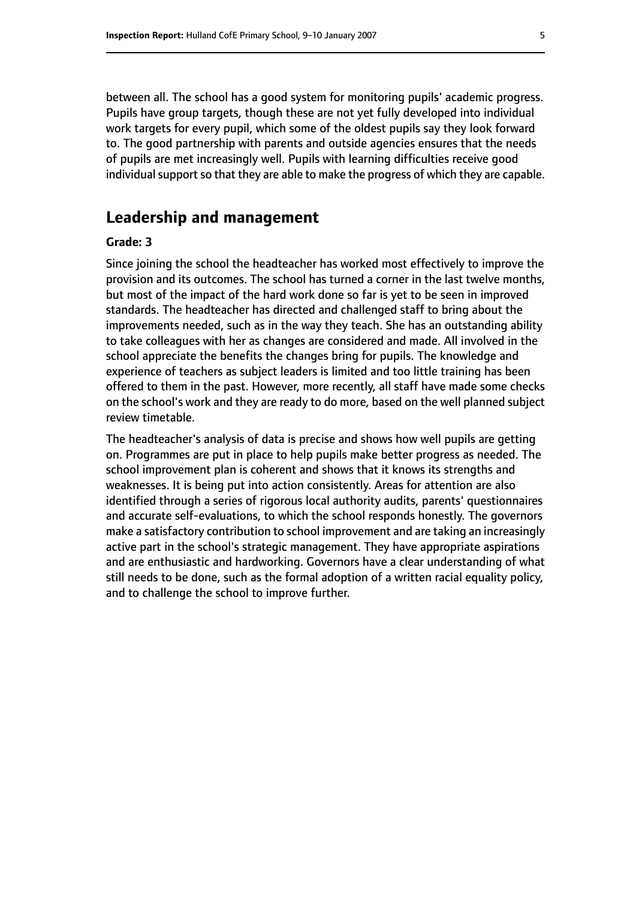between all. The school has a good system for monitoring pupils' academic progress. Pupils have group targets, though these are not yet fully developed into individual work targets for every pupil, which some of the oldest pupils say they look forward to. The good partnership with parents and outside agencies ensures that the needs of pupils are met increasingly well. Pupils with learning difficulties receive good individual support so that they are able to make the progress of which they are capable.

#### **Leadership and management**

#### **Grade: 3**

Since joining the school the headteacher has worked most effectively to improve the provision and its outcomes. The school has turned a corner in the last twelve months, but most of the impact of the hard work done so far is yet to be seen in improved standards. The headteacher has directed and challenged staff to bring about the improvements needed, such as in the way they teach. She has an outstanding ability to take colleagues with her as changes are considered and made. All involved in the school appreciate the benefits the changes bring for pupils. The knowledge and experience of teachers as subject leaders is limited and too little training has been offered to them in the past. However, more recently, all staff have made some checks on the school's work and they are ready to do more, based on the well planned subject review timetable.

The headteacher's analysis of data is precise and shows how well pupils are getting on. Programmes are put in place to help pupils make better progress as needed. The school improvement plan is coherent and shows that it knows its strengths and weaknesses. It is being put into action consistently. Areas for attention are also identified through a series of rigorous local authority audits, parents' questionnaires and accurate self-evaluations, to which the school responds honestly. The governors make a satisfactory contribution to school improvement and are taking an increasingly active part in the school's strategic management. They have appropriate aspirations and are enthusiastic and hardworking. Governors have a clear understanding of what still needs to be done, such as the formal adoption of a written racial equality policy, and to challenge the school to improve further.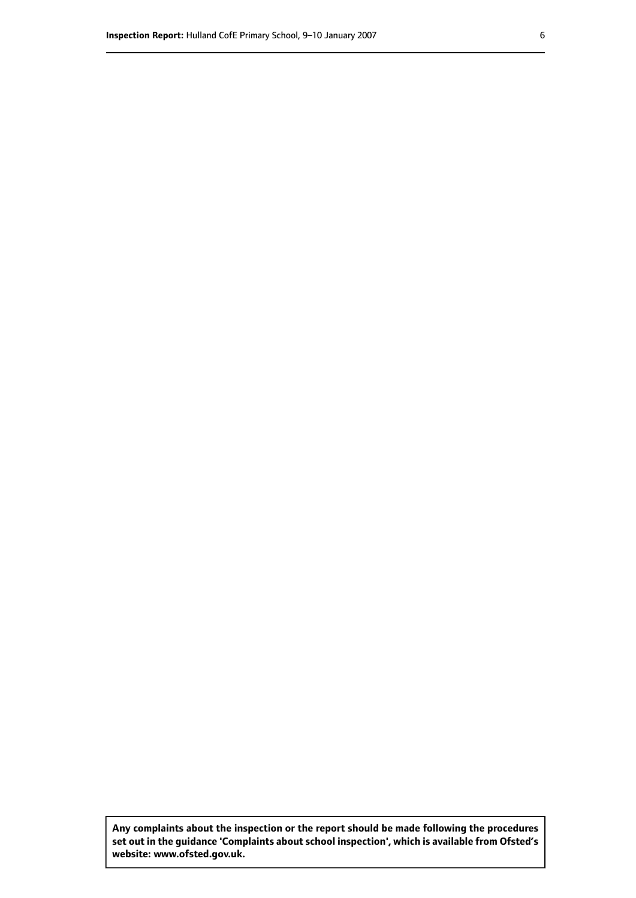**Any complaints about the inspection or the report should be made following the procedures set out inthe guidance 'Complaints about school inspection', whichis available from Ofsted's website: www.ofsted.gov.uk.**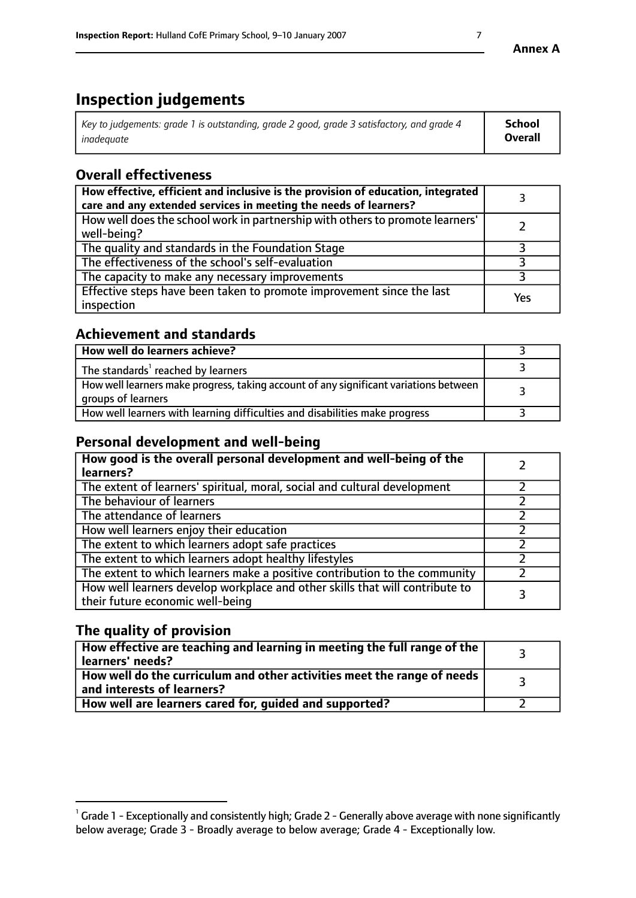# **Inspection judgements**

| Key to judgements: grade 1 is outstanding, grade 2 good, grade 3 satisfactory, and grade 4 | <b>School</b>  |
|--------------------------------------------------------------------------------------------|----------------|
| inadeauate                                                                                 | <b>Overall</b> |

# **Overall effectiveness**

| How effective, efficient and inclusive is the provision of education, integrated<br>care and any extended services in meeting the needs of learners? |     |
|------------------------------------------------------------------------------------------------------------------------------------------------------|-----|
| How well does the school work in partnership with others to promote learners'<br>well-being?                                                         |     |
| The quality and standards in the Foundation Stage                                                                                                    |     |
| The effectiveness of the school's self-evaluation                                                                                                    |     |
| The capacity to make any necessary improvements                                                                                                      |     |
| Effective steps have been taken to promote improvement since the last<br>inspection                                                                  | Yes |

# **Achievement and standards**

| How well do learners achieve?                                                                               |  |
|-------------------------------------------------------------------------------------------------------------|--|
| The standards <sup>1</sup> reached by learners                                                              |  |
| How well learners make progress, taking account of any significant variations between<br>groups of learners |  |
| How well learners with learning difficulties and disabilities make progress                                 |  |

# **Personal development and well-being**

| How good is the overall personal development and well-being of the<br>learners?                                  |  |
|------------------------------------------------------------------------------------------------------------------|--|
| The extent of learners' spiritual, moral, social and cultural development                                        |  |
| The behaviour of learners                                                                                        |  |
| The attendance of learners                                                                                       |  |
| How well learners enjoy their education                                                                          |  |
| The extent to which learners adopt safe practices                                                                |  |
| The extent to which learners adopt healthy lifestyles                                                            |  |
| The extent to which learners make a positive contribution to the community                                       |  |
| How well learners develop workplace and other skills that will contribute to<br>their future economic well-being |  |

# **The quality of provision**

| How effective are teaching and learning in meeting the full range of the<br>  learners' needs?               |  |
|--------------------------------------------------------------------------------------------------------------|--|
| How well do the curriculum and other activities meet the range of needs<br>$\mid$ and interests of learners? |  |
| How well are learners cared for, quided and supported?                                                       |  |

 $^1$  Grade 1 - Exceptionally and consistently high; Grade 2 - Generally above average with none significantly below average; Grade 3 - Broadly average to below average; Grade 4 - Exceptionally low.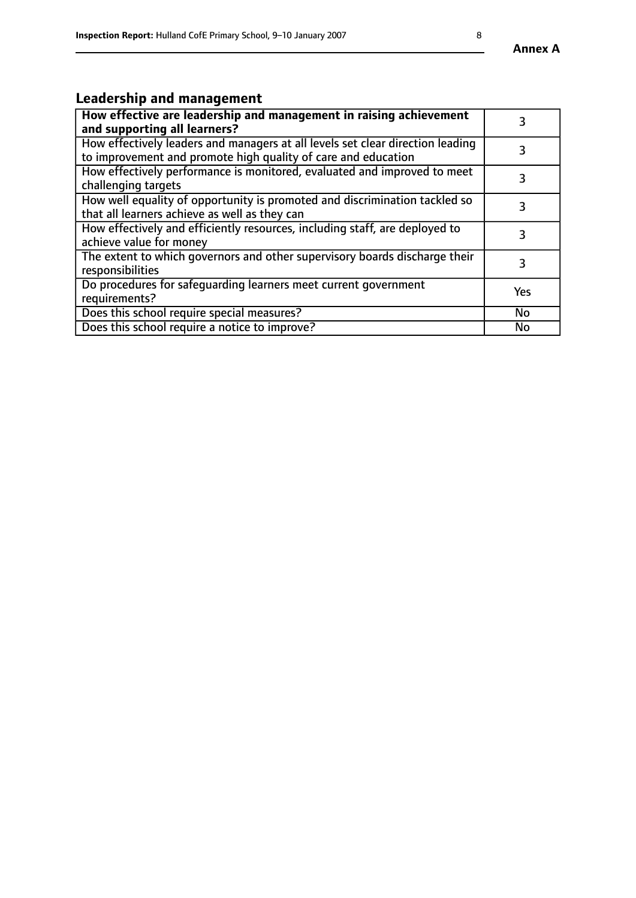# **Leadership and management**

| How effective are leadership and management in raising achievement<br>and supporting all learners?                                              |           |
|-------------------------------------------------------------------------------------------------------------------------------------------------|-----------|
| How effectively leaders and managers at all levels set clear direction leading<br>to improvement and promote high quality of care and education |           |
| How effectively performance is monitored, evaluated and improved to meet<br>challenging targets                                                 | 3         |
| How well equality of opportunity is promoted and discrimination tackled so<br>that all learners achieve as well as they can                     |           |
| How effectively and efficiently resources, including staff, are deployed to<br>achieve value for money                                          | 3         |
| The extent to which governors and other supervisory boards discharge their<br>responsibilities                                                  | 3         |
| Do procedures for safequarding learners meet current government<br>requirements?                                                                | Yes       |
| Does this school require special measures?                                                                                                      | No        |
| Does this school require a notice to improve?                                                                                                   | <b>No</b> |